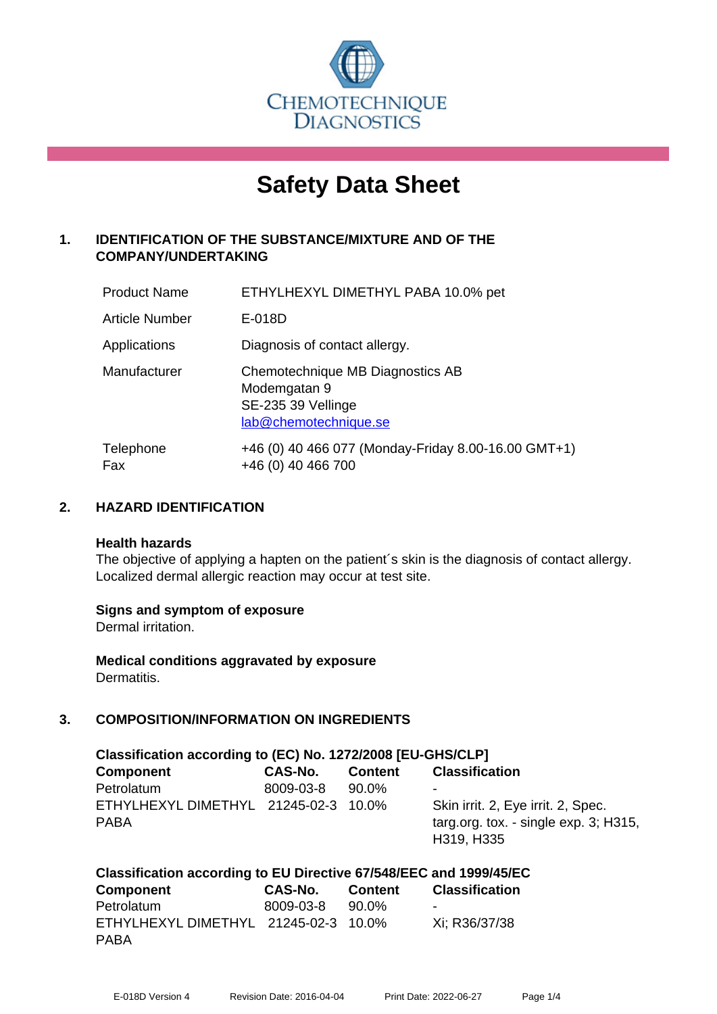

# **Safety Data Sheet**

# **1. IDENTIFICATION OF THE SUBSTANCE/MIXTURE AND OF THE COMPANY/UNDERTAKING**

| <b>Product Name</b> | ETHYLHEXYL DIMETHYL PABA 10.0% pet                                                              |
|---------------------|-------------------------------------------------------------------------------------------------|
| Article Number      | E-018D                                                                                          |
| Applications        | Diagnosis of contact allergy.                                                                   |
| Manufacturer        | Chemotechnique MB Diagnostics AB<br>Modemgatan 9<br>SE-235 39 Vellinge<br>lab@chemotechnique.se |
| Telephone<br>Fax    | +46 (0) 40 466 077 (Monday-Friday 8.00-16.00 GMT+1)<br>+46 (0) 40 466 700                       |

#### **2. HAZARD IDENTIFICATION**

#### **Health hazards**

The objective of applying a hapten on the patient's skin is the diagnosis of contact allergy. Localized dermal allergic reaction may occur at test site.

#### **Signs and symptom of exposure**

Dermal irritation.

**Medical conditions aggravated by exposure** Dermatitis.

# **3. COMPOSITION/INFORMATION ON INGREDIENTS**

| Classification according to (EC) No. 1272/2008 [EU-GHS/CLP] |           |                |                                          |  |
|-------------------------------------------------------------|-----------|----------------|------------------------------------------|--|
| <b>Component</b>                                            | CAS-No.   | <b>Content</b> | <b>Classification</b>                    |  |
| Petrolatum                                                  | 8009-03-8 | 90.0%          | ۰                                        |  |
| ETHYLHEXYL DIMETHYL 21245-02-3 10.0%                        |           |                | Skin irrit. 2, Eye irrit. 2, Spec.       |  |
| <b>PABA</b>                                                 |           |                | targ.org. tox. - single $exp. 3$ ; H315, |  |
|                                                             |           |                | H319, H335                               |  |

| Classification according to EU Directive 67/548/EEC and 1999/45/EC |           |         |                |  |
|--------------------------------------------------------------------|-----------|---------|----------------|--|
| <b>Component</b>                                                   | CAS-No.   | Content | Classification |  |
| Petrolatum                                                         | 8009-03-8 | 90.0%   |                |  |
| ETHYLHEXYL DIMETHYL 21245-02-3 10.0%                               |           |         | Xi: R36/37/38  |  |
| <b>PABA</b>                                                        |           |         |                |  |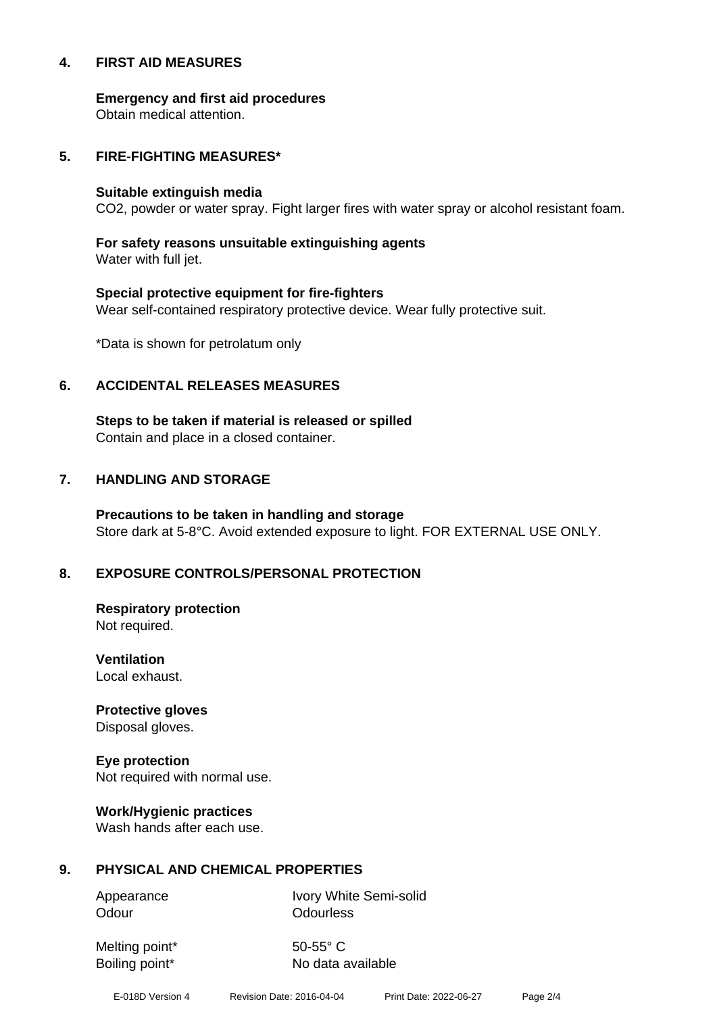#### **4. FIRST AID MEASURES**

**Emergency and first aid procedures**

Obtain medical attention.

#### **5. FIRE-FIGHTING MEASURES\***

#### **Suitable extinguish media**

CO2, powder or water spray. Fight larger fires with water spray or alcohol resistant foam.

# **For safety reasons unsuitable extinguishing agents**

Water with full jet.

# **Special protective equipment for fire-fighters** Wear self-contained respiratory protective device. Wear fully protective suit.

\*Data is shown for petrolatum only

#### **6. ACCIDENTAL RELEASES MEASURES**

**Steps to be taken if material is released or spilled** Contain and place in a closed container.

# **7. HANDLING AND STORAGE**

**Precautions to be taken in handling and storage** Store dark at 5-8°C. Avoid extended exposure to light. FOR EXTERNAL USE ONLY.

# **8. EXPOSURE CONTROLS/PERSONAL PROTECTION**

**Respiratory protection** Not required.

**Ventilation** Local exhaust.

**Protective gloves** Disposal gloves.

# **Eye protection**

Not required with normal use.

#### **Work/Hygienic practices**

Wash hands after each use.

#### **9. PHYSICAL AND CHEMICAL PROPERTIES**

Odour **Odourless** 

Appearance Ivory White Semi-solid

Melting point\* 50-55° C

Boiling point\* No data available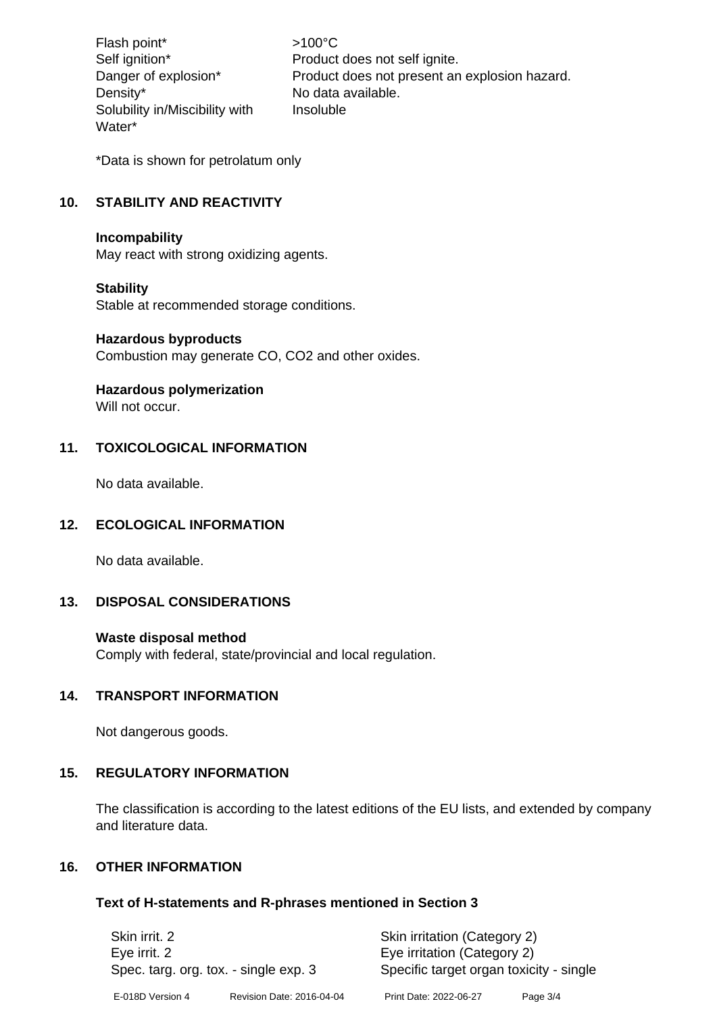Flash point\*  $>100^{\circ}$ C Density\* No data available. Solubility in/Miscibility with Water\*

Self ignition\* Product does not self ignite. Danger of explosion\* Product does not present an explosion hazard. Insoluble

\*Data is shown for petrolatum only

# **10. STABILITY AND REACTIVITY**

#### **Incompability**

May react with strong oxidizing agents.

#### **Stability**

Stable at recommended storage conditions.

#### **Hazardous byproducts**

Combustion may generate CO, CO2 and other oxides.

#### **Hazardous polymerization**

Will not occur.

#### **11. TOXICOLOGICAL INFORMATION**

No data available.

#### **12. ECOLOGICAL INFORMATION**

No data available.

#### **13. DISPOSAL CONSIDERATIONS**

#### **Waste disposal method**

Comply with federal, state/provincial and local regulation.

#### **14. TRANSPORT INFORMATION**

Not dangerous goods.

#### **15. REGULATORY INFORMATION**

The classification is according to the latest editions of the EU lists, and extended by company and literature data.

#### **16. OTHER INFORMATION**

#### **Text of H-statements and R-phrases mentioned in Section 3**

| Skin irrit, 2                         |                           | Skin irritation (Category 2)            |          |
|---------------------------------------|---------------------------|-----------------------------------------|----------|
| Eye irrit. 2                          |                           | Eye irritation (Category 2)             |          |
| Spec. targ. org. tox. - single exp. 3 |                           | Specific target organ toxicity - single |          |
| E-018D Version 4                      | Revision Date: 2016-04-04 | Print Date: 2022-06-27                  | Page 3/4 |